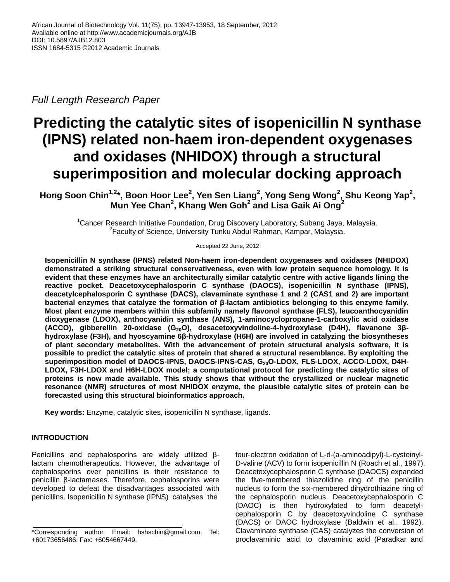*Full Length Research Paper*

# **Predicting the catalytic sites of isopenicillin N synthase (IPNS) related non-haem iron-dependent oxygenases and oxidases (NHIDOX) through a structural superimposition and molecular docking approach**

**Hong Soon Chin1,2\*, Boon Hoor Lee<sup>2</sup> , Yen Sen Liang<sup>2</sup> , Yong Seng Wong<sup>2</sup> , Shu Keong Yap<sup>2</sup> , Mun Yee Chan<sup>2</sup> , Khang Wen Goh<sup>2</sup> and Lisa Gaik Ai Ong<sup>2</sup>**

<sup>1</sup>Cancer Research Initiative Foundation, Drug Discovery Laboratory, Subang Jaya, Malaysia. <sup>2</sup> Faculty of Science, University Tunku Abdul Rahman, Kampar, Malaysia.

Accepted 22 June, 2012

**Isopenicillin N synthase (IPNS) related Non-haem iron-dependent oxygenases and oxidases (NHIDOX) demonstrated a striking structural conservativeness, even with low protein sequence homology. It is evident that these enzymes have an architecturally similar catalytic centre with active ligands lining the reactive pocket. Deacetoxycephalosporin C synthase (DAOCS), isopenicillin N synthase (IPNS), deacetylcephalosporin C synthase (DACS), clavaminate synthase 1 and 2 (CAS1 and 2) are important bacterial enzymes that catalyze the formation of β-lactam antibiotics belonging to this enzyme family. Most plant enzyme members within this subfamily namely flavonol synthase (FLS), leucoanthocyanidin dioxygenase (LDOX), anthocyanidin synthase (ANS), 1-aminocyclopropane-1-carboxylic acid oxidase (ACCO), gibberellin 20-oxidase (G20O), desacetoxyvindoline-4-hydroxylase (D4H), flavanone 3βhydroxylase (F3H), and hyoscyamine 6β-hydroxylase (H6H) are involved in catalyzing the biosyntheses of plant secondary metabolites. With the advancement of protein structural analysis software, it is possible to predict the catalytic sites of protein that shared a structural resemblance. By exploiting the superimposition model of DAOCS-IPNS, DAOCS-IPNS-CAS, G20O-LDOX, FLS-LDOX, ACCO-LDOX, D4H-LDOX, F3H-LDOX and H6H-LDOX model; a computational protocol for predicting the catalytic sites of proteins is now made available. This study shows that without the crystallized or nuclear magnetic resonance (NMR) structures of most NHIDOX enzyme, the plausible catalytic sites of protein can be forecasted using this structural bioinformatics approach.** 

**Key words:** Enzyme, catalytic sites, isopenicillin N synthase, ligands.

# **INTRODUCTION**

Penicillins and cephalosporins are widely utilized βlactam chemotherapeutics. However, the advantage of cephalosporins over penicillins is their resistance to penicillin β-lactamases. Therefore, cephalosporins were developed to defeat the disadvantages associated with penicillins. Isopenicillin N synthase (IPNS) catalyses the

four-electron oxidation of L-d-(a-aminoadipyl)-L-cysteinyl-D-valine (ACV) to form isopenicillin N (Roach et al., 1997). Deacetoxycephalosporin C synthase (DAOCS) expanded the five-membered thiazolidine ring of the penicillin nucleus to form the six-membered dihydrothiazine ring of the cephalosporin nucleus. Deacetoxycephalosporin C (DAOC) is then hydroxylated to form deacetylcephalosporin C by deacetoxyvindoline C synthase (DACS) or DAOC hydroxylase (Baldwin et al., 1992). Clavaminate synthase (CAS) catalyzes the conversion of proclavaminic acid to clavaminic acid (Paradkar and

<sup>\*</sup>Corresponding author. Email: hshschin@gmail.com. Tel: +60173656486. Fax: +6054667449.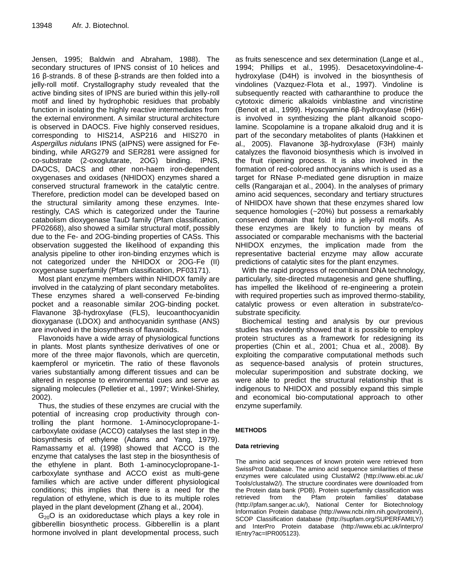Jensen, 1995; Baldwin and Abraham, 1988). The secondary structures of IPNS consist of 10 helices and 16 β-strands. 8 of these β-strands are then folded into a jelly-roll motif. Crystallography study revealed that the active binding sites of IPNS are buried within this jelly-roll motif and lined by hydrophobic residues that probably function in isolating the highly reactive intermediates from the external environment. A similar structural architecture is observed in DAOCS. Five highly conserved residues, corresponding to HIS214, ASP216 and HIS270 in *Aspergillus nidulans* IPNS (aIPNS) were assigned for Febinding, while ARG279 and SER281 were assigned for co-substrate (2-oxoglutarate, 2OG) binding. IPNS, DAOCS, DACS and other non-haem iron-dependent oxygenases and oxidases (NHIDOX) enzymes shared a conserved structural framework in the catalytic centre. Therefore, prediction model can be developed based on the structural similarity among these enzymes. Interestingly, CAS which is categorized under the Taurine catabolism dioxygenase TauD family (Pfam classification, PF02668), also showed a similar structural motif, possibly due to the Fe- and 2OG-binding properties of CASs. This observation suggested the likelihood of expanding this analysis pipeline to other iron-binding enzymes which is not categorized under the NHIDOX or 2OG-Fe (II) oxygenase superfamily (Pfam classification, PF03171).

Most plant enzyme members within NHIDOX family are involved in the catalyzing of plant secondary metabolites. These enzymes shared a well-conserved Fe-binding pocket and a reasonable similar 2OG-binding pocket. Flavanone 3β-hydroxylase (FLS), leucoanthocyanidin dioxyganase (LDOX) and anthocyanidin synthase (ANS) are involved in the biosynthesis of flavanoids.

Flavonoids have a wide array of physiological functions in plants. Most plants synthesize derivatives of one or more of the three major flavonols, which are quercetin, kaempferol or myricetin. The ratio of these flavonols varies substantially among different tissues and can be altered in response to environmental cues and serve as signaling molecules (Pelletier et al., 1997; Winkel-Shirley, 2002).

Thus, the studies of these enzymes are crucial with the potential of increasing crop productivity through controlling the plant hormone. 1-Aminocyclopropane-1 carboxylate oxidase (ACCO) catalyses the last step in the biosynthesis of ethylene (Adams and Yang, 1979). Ramassamy et al. (1998) showed that ACCO is the enzyme that catalyses the last step in the biosynthesis of the ethylene in plant. Both 1-aminocyclopropane-1 carboxylate synthase and ACCO exist as multi-gene families which are active under different physiological conditions; this implies that there is a need for the regulation of ethylene, which is due to its multiple roles played in the plant development (Zhang et al., 2004).

 $G_{20}O$  is an [oxidoreductase](http://www.uniprot.org/keywords/KW-0560) which plays a key role in [gibberellin biosynthetic process.](http://www.ebi.ac.uk/ego/DisplayGoTerm?id=GO:0009686) Gibberellin is a plant hormone involved in plant developmental process, such as fruits senescence and sex determination (Lange et al., 1994; Phillips et al., 1995). Desacetoxyvindoline-4 hydroxylase (D4H) is involved in the biosynthesis of vindolines (Vazquez-Flota et al., 1997). Vindoline is subsequently reacted with catharanthine to produce the cytotoxic dimeric alkaloids vinblastine and vincristine (Benoit et al., 1999). Hyoscyamine 6β-hydroxylase (H6H) is involved in synthesizing the plant alkanoid scopolamine. Scopolamine is a tropane alkaloid drug and it is part of the secondary metabolites of plants (Hakkinen et al., 2005). Flavanone 3β-hydroxylase (F3H) mainly catalyzes the flavonoid biosynthesis which is involved in the fruit ripening process. It is also involved in the formation of red-colored anthocyanins which is used as a target for RNase P-mediated gene disruption in maize cells (Rangarajan et al., 2004). In the analyses of primary amino acid sequences, secondary and tertiary structures of NHIDOX have shown that these enzymes shared low sequence homologies (~20%) but possess a remarkably conserved domain that fold into a jelly-roll motifs. As these enzymes are likely to function by means of associated or comparable mechanisms with the bacterial NHIDOX enzymes, the implication made from the representative bacterial enzyme may allow accurate predictions of catalytic sites for the plant enzymes.

With the rapid progress of recombinant DNA technology, particularly, site-directed mutagenesis and gene shuffling, has impelled the likelihood of re-engineering a protein with required properties such as improved thermo-stability, catalytic prowess or even alteration in substrate/cosubstrate specificity.

Biochemical testing and analysis by our previous studies has evidently showed that it is possible to employ protein structures as a framework for redesigning its properties (Chin et al., 2001; Chua et al., 2008). By exploiting the comparative computational methods such as sequence-based analysis of protein structures, molecular superimposition and substrate docking, we were able to predict the structural relationship that is indigenous to NHIDOX and possibly expand this simple and economical bio-computational approach to other enzyme superfamily.

# **METHODS**

# **Data retrieving**

The amino acid sequences of known protein were retrieved from SwissProt Database. The amino acid sequence similarities of these enzymes were calculated using ClustalW2 (http://www.ebi.ac.uk/ Tools/clustalw2/). The structure coordinates were downloaded from the Protein data bank (PDB). Protein superfamily classification was retrieved from the Pfam protein families' database (http://pfam.sanger.ac.uk/), National Center for Biotechnology Information Protein database (http://www.ncbi.nlm.nih.gov/protein/), SCOP Classification database (http://supfam.org/SUPERFAMILY/) and InterPro Protein database (http://www.ebi.ac.uk/interpro/ IEntry?ac=IPR005123).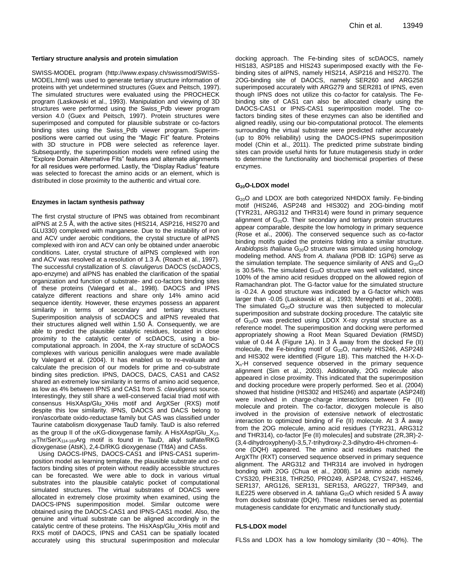#### **Tertiary structure analysis and protein simulation**

SWISS-MODEL program (http://www.expasy.ch/swissmod/SWISS-MODEL.html) was used to generate tertiary structure information of proteins with yet undetermined structures (Guex and Peitsch, 1997). The simulated structures were evaluated using the PROCHECK program (Laskowski et al., 1993). Manipulation and viewing of 3D structures were performed using the Swiss\_Pdb viewer program version 4.0 (Guex and Peitsch, 1997). Protein structures were superimposed and computed for plausible substrate or co-factors binding sites using the Swiss\_Pdb viewer program. Superimpositions were carried out using the "Magic Fit" feature. Proteins with 3D structure in PDB were selected as reference layer. Subsequently, the superimposition models were refined using the "Explore Domain Alternative Fits" features and alternate alignments for all residues were performed. Lastly, the "Display Radius" feature was selected to forecast the amino acids or an element, which is distributed in close proximity to the authentic and virtual core.

#### **Enzymes in lactam synthesis pathway**

The first crystal structure of IPNS was obtained from recombinant aIPNS at 2.5 Å, with the active sites (HIS214, ASP216, HIS270 and GLU330) complexed with manganese. Due to the instability of iron and ACV under aerobic conditions, the crystal structure of aIPNS complexed with iron and ACV can only be obtained under anaerobic conditions. Later, crystal structure of aIPNS complexed with iron and ACV was resolved at a resolution of 1.3 Å. (Roach et al., 1997). The successful crystallization of *S. clavuligerus* DAOCS (scDAOCS, apo-enzyme) and aIPNS has enabled the clarification of the spatial organization and function of substrate- and co-factors binding sites of these proteins (Valegard et al., 1998). DAOCS and IPNS catalyze different reactions and share only 14% amino acid sequence identity. However, these enzymes possess an apparent similarity in terms of secondary and tertiary structures. Superimposition analysis of scDAOCS and aIPNS revealed that their structures aligned well within 1.50 Å. Consequently, we are able to predict the plausible catalytic residues, located in close proximity to the catalytic center of scDAOCS, using a biocomputational approach. In 2004, the X-ray structure of scDAOCS complexes with various penicillin analogues were made available by Valegard et al. (2004). It has enabled us to re-evaluate and calculate the precision of our models for prime and co-substrate binding sites prediction. IPNS, DAOCS, DACS, CAS1 and CAS2 shared an extremely low similarity in terms of amino acid sequence, as low as 4% between IPNS and CAS1 from *S. clavuligerus* source. Interestingly, they still share a well-conserved facial triad motif with consensus HisXAsp/Glu\_XHis motif and ArgXSer (RXS) motif despite this low similarity. IPNS, DAOCS and DACS belong to iron/ascorbate oxido-reductase family but CAS was classified under Taurine catabolism dioxygenase TauD family. TauD is also referred as the group II of the  $\alpha$ KG-dioxygenase family. A HisXAsp/Glu\_X<sub>23-</sub> 26Thr/SerX<sub>114-183</sub>Arg motif is found in TauD, alkyl sulfate/RKG dioxygenase (AtsK), 2,4-D/RKG dioxygenase (TfdA) and CASs.

Using DAOCS-IPNS, DAOCS-CAS1 and IPNS-CAS1 superimposition model as learning template, the plausible substrate and cofactors binding sites of protein without readily accessible structures can be forecasted. We were able to dock in various virtual substrates into the plausible catalytic pocket of computational simulated structures. The virtual substrates of DOACS were allocated in extremely close proximity when examined, using the DAOCS-IPNS superimposition model. Similar outcome were obtained using the DAOCS-CAS1 and IPNS-CAS1 model. Also, the genuine and virtual substrate can be aligned accordingly in the catalytic centre of these proteins. The HisXAsp/Glu\_XHis motif and RXS motif of DAOCS, IPNS and CAS1 can be spatially located accurately using this structural superimposition and molecular

docking approach. The Fe-binding sites of scDAOCS, namely HIS183, ASP185 and HIS243 superimposed exactly with the Febinding sites of aIPNS, namely HIS214, ASP216 and HIS270. The 2OG-binding site of DAOCS, namely SER260 and ARG258 superimposed accurately with ARG279 and SER281 of IPNS, even though IPNS does not utilize this co-factor for catalysis. The Febinding site of CAS1 can also be allocated clearly using the DAOCS-CAS1 or IPNS-CAS1 superimposition model. The cofactors binding sites of these enzymes can also be identified and aligned readily, using our bio-computational protocol. The elements surrounding the virtual substrate were predicted rather accurately (up to 80% reliability) using the DAOCS-IPNS superimposition model (Chin et al., 2011). The predicted prime substrate binding sites can provide useful hints for future mutagenesis study in order to determine the functionality and biochemical properties of these enzymes.

## **G20O-LDOX model**

G<sub>20</sub>O and LDOX are both categorized NHIDOX family. Fe-binding motif (HIS246, ASP248 and HIS302) and 2OG-binding motif (TYR231, ARG312 and THR314) were found in primary sequence alignment of  $G_{20}O$ . Their secondary and tertiary protein structures appear comparable, despite the low homology in primary sequence (Rose et al., 2006). The conserved sequence such as co-factor binding motifs guided the proteins folding into a similar structure. Arabidopsis *thaliana* G<sub>20</sub>O structure was simulated using homology modeling method. ANS from *A. thaliana* (PDB ID: 1GP6) serve as the simulation template. The sequence similarity of ANS and  $G_{20}O$ is 30.54%. The simulated  $G_{20}O$  structure was well validated, since 100% of the amino acid residues dropped on the allowed region of Ramachandran plot. The G-factor value for the simulated structure is -0.24. A good structure was indicated by a G-factor which was larger than -0.05 (Laskowski et al., 1993; Mereghetti et al., 2008). The simulated  $G_{20}O$  structure was then subjected to molecular superimposition and substrate docking procedure. The catalytic site of  $G_{20}$ O was predicted using LDOX X-ray crystal structure as a reference model. The superimposition and docking were performed appropriately showing a Root Mean Squared Deviation (RMSD) value of 0.44 Å (Figure 1A). In 3 Å away from the docked Fe (II) molecule, the Fe-binding motif of  $G_{20}O$ , namely HIS246, ASP248 and HIS302 were identified (Figure 1B). This matched the H-X-D- $X_n$ -H conserved sequence observed in the primary sequence alignment (Sim et al., 2003). Additionally, 2OG molecule also appeared in close proximity. This indicated that the superimposition and docking procedure were properly performed. Seo et al. (2004) showed that histidine (HIS302 and HIS246) and aspartate (ASP248) were involved in charge-charge interactions between Fe (II) molecule and protein. The co-factor, dioxygen molecule is also involved in the provision of extensive network of electrostatic interaction to optimized binding of Fe (II) molecule. At 3 Å away from the 2OG molecule, amino acid residues (TYR231, ARG312 and THR314), co-factor [Fe (II) molecules] and substrate (2R,3R)-2- (3,4-dihydroxyphenyl)-3,5,7-trihydroxy-2,3-dihydro-4H-chromen-4 one (DQH) appeared. The amino acid residues matched the ArgXThr (RXT) conserved sequence observed in primary sequence alignment. The ARG312 and THR314 are involved in hydrogen bonding with 2OG (Chua et al., 2008). 14 amino acids namely CYS320, PHE318, THR250, PRO249, ASP248, CYS247, HIS246, SER137, ARG126, SER131, SER153, ARG227, TRP349, and ILE225 were observed in A. tahliana G<sub>20</sub>O which resided 5 Å away from docked substrate (DQH). These residues served as potential mutagenesis candidate for enzymatic and functionally study.

#### **FLS-LDOX model**

FLSs and LDOX has a low homology similarity  $(30 \sim 40\%)$ . The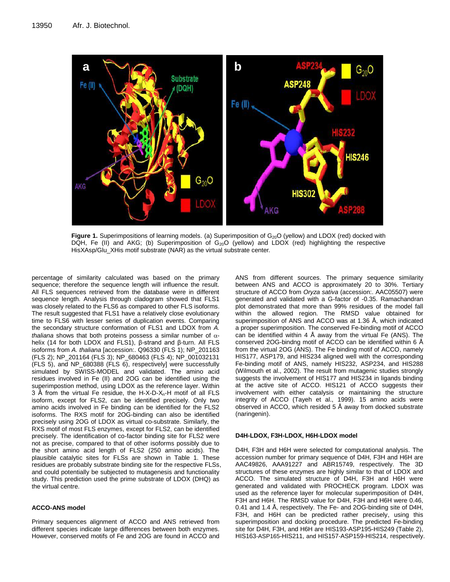

**Figure 1.** Superimpositions of learning models. (a) Superimposition of G<sub>20</sub>O (yellow) and LDOX (red) docked with DQH, Fe (II) and AKG; (b) Superimposition of G<sub>20</sub>O (yellow) and LDOX (red) highlighting the respective HisXAsp/Glu\_XHis motif substrate (NAR) as the virtual substrate center.

percentage of similarity calculated was based on the primary sequence; therefore the sequence length will influence the result. All FLS sequences retrieved from the database were in different sequence length. Analysis through cladogram showed that FLS1 was closely related to the FLS6 as compared to other FLS isoforms. The result suggested that FLS1 have a relatively close evolutionary time to FLS6 with lesser series of duplication events. Comparing the secondary structure conformation of FLS1 and LDOX from *A. thaliana* shows that both proteins possess a similar number of  $\alpha$ helix (14 for both LDOX and FLS1), β-strand and β-turn. All FLS isoforms from *A. thaliana* [accession:. Q96330 (FLS 1); NP\_201163 (FLS 2); NP\_201164 (FLS 3); NP\_680463 (FLS 4); NP\_001032131 (FLS 5), and NP\_680388 (FLS 6), respectively] were successfully simulated by SWISS-MODEL and validated. The amino acid residues involved in Fe (II) and 2OG can be identified using the superimpostion method, using LDOX as the reference layer. Within 3 Å from the virtual Fe residue, the H-X-D-X<sub>n</sub>-H motif of all FLS isoform, except for FLS2, can be identified precisely. Only two amino acids involved in Fe binding can be identified for the FLS2 isoforms. The RXS motif for 2OG-binding can also be identified precisely using 2OG of LDOX as virtual co-substrate. Similarly, the RXS motif of most FLS enzymes, except for FLS2, can be identified precisely. The identification of co-factor binding site for FLS2 were not as precise, compared to that of other isoforms possibly due to the short amino acid length of FLS2 (250 amino acids). The plausible catalytic sites for FLSs are shown in Table 1. These residues are probably substrate binding site for the respective FLSs, and could potentially be subjected to mutagenesis and functionality study. This prediction used the prime substrate of LDOX (DHQ) as the virtual centre.

## **ACCO-ANS model**

Primary sequences alignment of ACCO and ANS retrieved from different species indicate large differences between both enzymes. However, conserved motifs of Fe and 2OG are found in ACCO and ANS from different sources. The primary sequence similarity between ANS and ACCO is approximately 20 to 30%. Tertiary structure of ACCO from *Oryza sativa* (accession:. AAC05507) were generated and validated with a G-factor of -0.35. Ramachandran plot demonstrated that more than 99% residues of the model fall within the allowed region. The RMSD value obtained for superimposition of ANS and ACCO was at 1.36 Å, which indicated a proper superimposition. The conserved Fe-binding motif of ACCO can be identified within 4  $\AA$  away from the virtual Fe (ANS). The conserved 2OG-bindng motif of ACCO can be identified within 6 Å from the virtual 2OG (ANS). The Fe binding motif of ACCO, namely HIS177, ASP179, and HIS234 aligned well with the corresponding Fe-binding motif of ANS, namely HIS232, ASP234, and HIS288 (Wilmouth et al., 2002). The result from mutagenic studies strongly suggests the involvement of HIS177 and HIS234 in ligands binding at the active site of ACCO. HIS121 of ACCO suggests their involvement with either catalysis or maintaining the structure integrity of ACCO (Tayeh et al., 1999). 15 amino acids were observed in ACCO, which resided 5 Å away from docked substrate (naringenin).

## **D4H-LDOX, F3H-LDOX, H6H-LDOX model**

D4H, F3H and H6H were selected for computational analysis. The accession number for primary sequence of D4H, F3H and H6H are AAC49826, AAA91227 and ABR15749, respectively. The 3D structures of these enzymes are highly similar to that of LDOX and ACCO. The simulated structure of D4H, F3H and H6H were generated and validated with PROCHECK program. LDOX was used as the reference layer for molecular superimposition of D4H, F3H and H6H. The RMSD value for D4H, F3H and H6H were 0.46, 0.41 and 1.4 Å, respectively. The Fe- and 2OG-binding site of D4H, F3H, and H6H can be predicted rather precisely, using this superimposition and docking procedure. The predicted Fe-binding site for D4H, F3H, and H6H are HIS193-ASP195-HIS249 (Table 2), HIS163-ASP165-HIS211, and HIS157-ASP159-HIS214, respectively.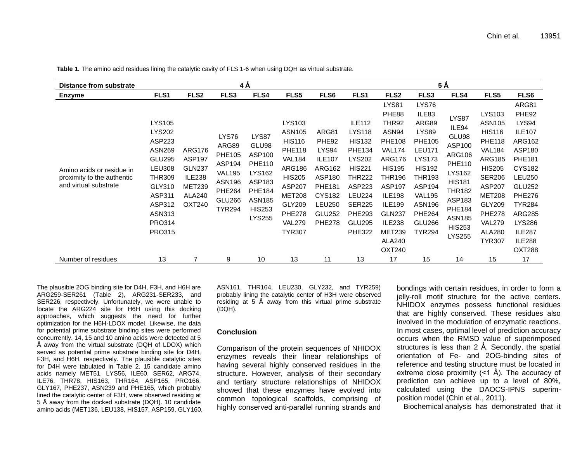| Distance from substrate                                                          | 4Å                                                                                                                                                                                     |                                                                                                              |                                                                                                                              |                                                                                                                                          |                                                                                                                                                                                                             | $5\,\text{\AA}$                                                                                                                            |                                                                                                                                                                                                                    |                                                                                                                                                                                                                                                 |                                                                                                                                                                                                                      |                                                                                                                                                                                                      |                                                                                                                                                                                                                                               |                                                                                                                                                                                                                                                                |
|----------------------------------------------------------------------------------|----------------------------------------------------------------------------------------------------------------------------------------------------------------------------------------|--------------------------------------------------------------------------------------------------------------|------------------------------------------------------------------------------------------------------------------------------|------------------------------------------------------------------------------------------------------------------------------------------|-------------------------------------------------------------------------------------------------------------------------------------------------------------------------------------------------------------|--------------------------------------------------------------------------------------------------------------------------------------------|--------------------------------------------------------------------------------------------------------------------------------------------------------------------------------------------------------------------|-------------------------------------------------------------------------------------------------------------------------------------------------------------------------------------------------------------------------------------------------|----------------------------------------------------------------------------------------------------------------------------------------------------------------------------------------------------------------------|------------------------------------------------------------------------------------------------------------------------------------------------------------------------------------------------------|-----------------------------------------------------------------------------------------------------------------------------------------------------------------------------------------------------------------------------------------------|----------------------------------------------------------------------------------------------------------------------------------------------------------------------------------------------------------------------------------------------------------------|
| <b>Enzyme</b>                                                                    | FLS1                                                                                                                                                                                   | FLS <sub>2</sub>                                                                                             | FLS3                                                                                                                         | FLS4                                                                                                                                     | FLS5                                                                                                                                                                                                        | FLS6                                                                                                                                       | FLS1                                                                                                                                                                                                               | FLS <sub>2</sub>                                                                                                                                                                                                                                | FLS <sub>3</sub>                                                                                                                                                                                                     | FLS4                                                                                                                                                                                                 | FLS5                                                                                                                                                                                                                                          | FLS6                                                                                                                                                                                                                                                           |
| Amino acids or residue in<br>proximity to the authentic<br>and virtual substrate | <b>LYS105</b><br><b>LYS202</b><br><b>ASP223</b><br><b>ASN269</b><br>GLU295<br><b>LEU308</b><br><b>THR309</b><br>GLY310<br>ASP311<br>ASP312<br>ASN313<br><b>PRO314</b><br><b>PRO315</b> | <b>ARG176</b><br><b>ASP197</b><br><b>GLN237</b><br><b>ILE238</b><br><b>MET239</b><br><b>ALA240</b><br>OXT240 | LYS76<br>ARG89<br><b>PHE105</b><br>ASP194<br><b>VAL195</b><br>ASN <sub>196</sub><br><b>PHE264</b><br>GLU266<br><b>TYR294</b> | LYS87<br>GLU98<br>ASP100<br><b>PHE110</b><br><b>LYS162</b><br>ASP183<br><b>PHE184</b><br><b>ASN185</b><br><b>HIS253</b><br><b>LYS255</b> | LYS103<br><b>ASN105</b><br><b>HIS116</b><br><b>PHE118</b><br><b>VAL184</b><br><b>ARG186</b><br><b>HIS205</b><br><b>ASP207</b><br><b>MET208</b><br>GLY209<br><b>PHE278</b><br><b>VAL279</b><br><b>TYR307</b> | ARG81<br>PHE92<br>LYS94<br><b>ILE107</b><br><b>ARG162</b><br>ASP180<br><b>PHE181</b><br><b>CYS182</b><br>LEU250<br>GLU252<br><b>PHE278</b> | <b>ILE112</b><br><b>LYS118</b><br><b>HIS132</b><br><b>PHE134</b><br><b>LYS202</b><br><b>HIS221</b><br><b>THR222</b><br><b>ASP223</b><br><b>LEU224</b><br><b>SER225</b><br><b>PHE293</b><br>GLU295<br><b>PHE322</b> | LYS81<br>PHE88<br>THR92<br>ASN94<br><b>PHE108</b><br><b>VAL174</b><br><b>ARG176</b><br><b>HIS195</b><br>THR196<br><b>ASP197</b><br><b>ILE198</b><br><b>ILE199</b><br><b>GLN237</b><br><b>ILE238</b><br><b>MET239</b><br><b>ALA240</b><br>OXT240 | LYS76<br>ILE83<br>ARG89<br><b>LYS89</b><br><b>PHE105</b><br><b>LEU171</b><br><b>LYS173</b><br><b>HIS192</b><br>THR193<br><b>ASP194</b><br><b>VAL195</b><br><b>ASN196</b><br><b>PHE264</b><br>GLU266<br><b>TYR294</b> | LYS87<br>ILE94<br>GLU98<br>ASP100<br><b>ARG106</b><br><b>PHE110</b><br><b>LYS162</b><br><b>HIS181</b><br><b>THR182</b><br>ASP183<br><b>PHE184</b><br><b>ASN185</b><br><b>HIS253</b><br><b>LYS255</b> | LYS103<br><b>ASN105</b><br><b>HIS116</b><br><b>PHE118</b><br><b>VAL184</b><br><b>ARG185</b><br><b>HIS205</b><br><b>SER206</b><br><b>ASP207</b><br><b>MET208</b><br>GLY209<br><b>PHE278</b><br><b>VAL279</b><br><b>ALA280</b><br><b>TYR307</b> | ARG81<br>PHE92<br>LYS94<br><b>ILE107</b><br><b>ARG162</b><br>ASP180<br><b>PHE181</b><br><b>CYS182</b><br><b>LEU250</b><br><b>GLU252</b><br><b>PHE276</b><br><b>TYR284</b><br><b>ARG285</b><br><b>LYS286</b><br><b>ILE287</b><br><b>ILE288</b><br><b>OXT288</b> |
| Number of residues                                                               | 13                                                                                                                                                                                     | 7                                                                                                            | 9                                                                                                                            | 10                                                                                                                                       | 13                                                                                                                                                                                                          | 11                                                                                                                                         | 13                                                                                                                                                                                                                 | 17                                                                                                                                                                                                                                              | 15                                                                                                                                                                                                                   | 14                                                                                                                                                                                                   | 15                                                                                                                                                                                                                                            | 17                                                                                                                                                                                                                                                             |

**Table 1.** The amino acid residues lining the catalytic cavity of FLS 1-6 when using DQH as virtual substrate.

The plausible 2OG binding site for D4H, F3H, and H6H are ARG259-SER261 (Table 2), ARG231-SER233, and SER226, respectively. Unfortunately, we were unable to locate the ARG224 site for H6H using this docking approaches, which suggests the need for further optimization for the H6H-LDOX model. Likewise, the data for potential prime substrate binding sites were performed concurrently. 14, 15 and 10 amino acids were detected at 5 Å away from the virtual substrate (DQH of LDOX) which served as potential prime substrate binding site for D4H, F3H, and H6H, respectively. The plausible catalytic sites for D4H were tabulated in Table 2. 15 candidate amino acids namely MET51, LYS56, ILE60, SER62, ARG74, ILE76, THR78, HIS163, THR164, ASP165, PRO166, GLY167, PHE237, ASN239 and PHE165, which probably lined the catalytic center of F3H, were observed residing at 5 Å away from the docked substrate (DQH). 10 candidate amino acids (MET136, LEU138, HIS157, ASP159, GLY160, ASN161, THR164, LEU230, GLY232, and TYR259) probably lining the catalytic center of H3H were observed residing at 5 Å away from this virtual prime substrate (DQH).

# **Conclusion**

Comparison of the protein sequences of NHIDOX enzymes reveals their linear relationships of having several highly conserved residues in the structure. However, analysis of their secondary and tertiary structure relationships of NHIDOX showed that these enzymes have evolved into common topological scaffolds, comprising of highly conserved anti-parallel running strands and

bondings with certain residues, in order to form a jelly-roll motif structure for the active centers. NHIDOX enzymes possess functional residues that are highly conserved. These residues also involved in the modulation of enzymatic reactions. In most cases, optimal level of prediction accuracy occurs when the RMSD value of superimposed structures is less than  $2 \text{ Å}$ . Secondly, the spatial orientation of Fe- and 2OG-binding sites of reference and testing structure must be located in extreme close proximity  $($  < 1 Å). The accuracy of prediction can achieve up to a level of 80%, calculated using the DAOCS-IPNS superimposition model (Chin et al., 2011).

Biochemical analysis has demonstrated that it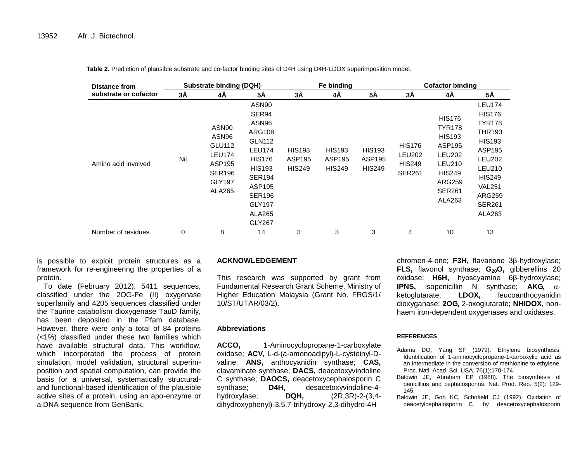| <b>Distance from</b><br>substrate or cofactor |     | <b>Substrate binding (DQH)</b>                                                           |                                                                                                                                                                                                             |                                          | Fe binding                               |                                          | <b>Cofactor binding</b>                                          |                                                                                                                                            |                                                                                                                                                                                                             |  |
|-----------------------------------------------|-----|------------------------------------------------------------------------------------------|-------------------------------------------------------------------------------------------------------------------------------------------------------------------------------------------------------------|------------------------------------------|------------------------------------------|------------------------------------------|------------------------------------------------------------------|--------------------------------------------------------------------------------------------------------------------------------------------|-------------------------------------------------------------------------------------------------------------------------------------------------------------------------------------------------------------|--|
|                                               | 3Å  | 4Å                                                                                       | 5Å                                                                                                                                                                                                          | 3Å                                       | 4Å                                       | 5Å                                       | 3Å                                                               | 4Å                                                                                                                                         | 5Å                                                                                                                                                                                                          |  |
| Amino acid involved                           | Nil | ASN90<br>ASN96<br>GLU112<br><b>LEU174</b><br>ASP195<br><b>SER196</b><br>GLY197<br>ALA265 | ASN90<br>SER94<br>ASN96<br><b>ARG108</b><br><b>GLN112</b><br><b>LEU174</b><br><b>HIS176</b><br><b>HIS193</b><br><b>SER194</b><br>ASP195<br><b>SER196</b><br><b>GLY197</b><br><b>ALA265</b><br><b>GLY267</b> | <b>HIS193</b><br>ASP195<br><b>HIS249</b> | <b>HIS193</b><br>ASP195<br><b>HIS249</b> | <b>HIS193</b><br>ASP195<br><b>HIS249</b> | <b>HIS176</b><br><b>LEU202</b><br><b>HIS249</b><br><b>SER261</b> | <b>HIS176</b><br><b>TYR178</b><br><b>HIS193</b><br>ASP195<br><b>LEU202</b><br>LEU210<br><b>HIS249</b><br>ARG259<br><b>SER261</b><br>ALA263 | <b>LEU174</b><br><b>HIS176</b><br><b>TYR178</b><br><b>THR190</b><br><b>HIS193</b><br>ASP195<br><b>LEU202</b><br><b>LEU210</b><br><b>HIS249</b><br><b>VAL251</b><br><b>ARG259</b><br><b>SER261</b><br>ALA263 |  |
| Number of residues                            | 0   | 8                                                                                        | 14                                                                                                                                                                                                          | 3                                        | 3                                        | 3                                        | 4                                                                | 10                                                                                                                                         | 13                                                                                                                                                                                                          |  |

**Table 2.** Prediction of plausible substrate and co-factor binding sites of D4H using D4H-LDOX superimposition model.

is possible to exploit protein structures as a framework for re-engineering the properties of a protein.

To date (February 2012), 5411 sequences, classified under the 2OG-Fe (II) oxygenase superfamily and 4205 sequences classified under the Taurine catabolism dioxygenase TauD family, has been deposited in the Pfam database. However, there were only a total of 84 proteins (<1%) classified under these two families which have available structural data. This workflow, which incorporated the process of protein simulation, model validation, structural superimposition and spatial computation, can provide the basis for a universal, systematically structuraland functional-based identification of the plausible active sites of a protein, using an apo-enzyme or a DNA sequence from GenBank.

# **ACKNOWLEDGEMENT**

This research was supported by grant from Fundamental Research Grant Scheme, Ministry of Higher Education Malaysia (Grant No. FRGS/1/ 10/ST/UTAR/03/2).

## **Abbreviations**

**ACCO,** 1-Aminocyclopropane-1-carboxylate oxidase; **ACV,** L-d-(a-amonoadipyl)-L-cysteinyl-Dvaline; **ANS,** anthocyanidin synthase; **CAS,** clavaminate synthase; **DACS,** deacetoxyvindoline C synthase; **DAOCS,** deacetoxycephalosporin C synthase; **D4H,** desacetoxyvindoline-4 hydroxylase; **DQH,** (2R,3R)-2-(3,4 dihydroxyphenyl)-3,5,7-trihydroxy-2,3-dihydro-4H

chromen-4-one; **F3H,** flavanone 3β-hydroxylase; **FLS,** flavonol synthase; **G20O,** gibberellins 20 oxidase; **H6H,** hyoscyamine 6β-hydroxylase; **IPNS,** isopenicillin N synthase;  $AKG$ ,  $\alpha$ ketoglutarate; **LDOX,** leucoanthocyanidin dioxyganase; **2OG,** 2-oxoglutarate; **NHIDOX,** nonhaem iron-dependent oxygenases and oxidases.

## **REFERENCES**

- Adams DO, Yang SF (1979). Ethylene biosynthesis: Identification of 1-aminocyclopropane-1-carboxylic acid as an intermediate in the conversion of methionine to ethylene. Proc. Natl. Acad. Sci. USA. 76(1):170-174.
- Baldwin JE, Abraham EP (1988). The biosynthesis of penicillins and cephalosporins. Nat. Prod. Rep. 5(2): 129- 145.
- Baldwin JE, Goh KC, Schofield CJ (1992). Oxidation of deacetylcephalosporin C by deacetoxycephalosporin